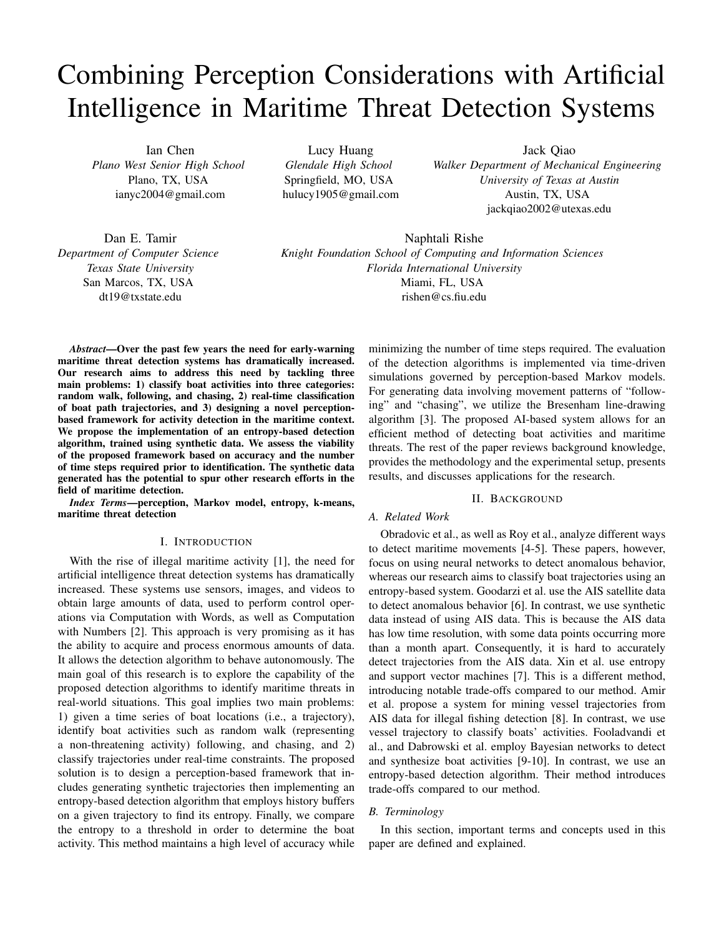# Combining Perception Considerations with Artificial Intelligence in Maritime Threat Detection Systems

Ian Chen *Plano West Senior High School* Plano, TX, USA ianyc2004@gmail.com

Lucy Huang *Glendale High School* Springfield, MO, USA hulucy1905@gmail.com Jack Qiao

*Walker Department of Mechanical Engineering University of Texas at Austin* Austin, TX, USA jackqiao2002@utexas.edu

Dan E. Tamir *Department of Computer Science Texas State University* San Marcos, TX, USA dt19@txstate.edu

Naphtali Rishe *Knight Foundation School of Computing and Information Sciences Florida International University* Miami, FL, USA rishen@cs.fiu.edu

*Abstract*—Over the past few years the need for early-warning maritime threat detection systems has dramatically increased. Our research aims to address this need by tackling three main problems: 1) classify boat activities into three categories: random walk, following, and chasing, 2) real-time classification of boat path trajectories, and 3) designing a novel perceptionbased framework for activity detection in the maritime context. We propose the implementation of an entropy-based detection algorithm, trained using synthetic data. We assess the viability of the proposed framework based on accuracy and the number of time steps required prior to identification. The synthetic data generated has the potential to spur other research efforts in the field of maritime detection.

*Index Terms*—perception, Markov model, entropy, k-means, maritime threat detection

## I. INTRODUCTION

With the rise of illegal maritime activity [1], the need for artificial intelligence threat detection systems has dramatically increased. These systems use sensors, images, and videos to obtain large amounts of data, used to perform control operations via Computation with Words, as well as Computation with Numbers [2]. This approach is very promising as it has the ability to acquire and process enormous amounts of data. It allows the detection algorithm to behave autonomously. The main goal of this research is to explore the capability of the proposed detection algorithms to identify maritime threats in real-world situations. This goal implies two main problems: 1) given a time series of boat locations (i.e., a trajectory), identify boat activities such as random walk (representing a non-threatening activity) following, and chasing, and 2) classify trajectories under real-time constraints. The proposed solution is to design a perception-based framework that includes generating synthetic trajectories then implementing an entropy-based detection algorithm that employs history buffers on a given trajectory to find its entropy. Finally, we compare the entropy to a threshold in order to determine the boat activity. This method maintains a high level of accuracy while minimizing the number of time steps required. The evaluation of the detection algorithms is implemented via time-driven simulations governed by perception-based Markov models. For generating data involving movement patterns of "following" and "chasing", we utilize the Bresenham line-drawing algorithm [3]. The proposed AI-based system allows for an efficient method of detecting boat activities and maritime threats. The rest of the paper reviews background knowledge, provides the methodology and the experimental setup, presents results, and discusses applications for the research.

# II. BACKGROUND

## *A. Related Work*

Obradovic et al., as well as Roy et al., analyze different ways to detect maritime movements [4-5]. These papers, however, focus on using neural networks to detect anomalous behavior, whereas our research aims to classify boat trajectories using an entropy-based system. Goodarzi et al. use the AIS satellite data to detect anomalous behavior [6]. In contrast, we use synthetic data instead of using AIS data. This is because the AIS data has low time resolution, with some data points occurring more than a month apart. Consequently, it is hard to accurately detect trajectories from the AIS data. Xin et al. use entropy and support vector machines [7]. This is a different method, introducing notable trade-offs compared to our method. Amir et al. propose a system for mining vessel trajectories from AIS data for illegal fishing detection [8]. In contrast, we use vessel trajectory to classify boats' activities. Fooladvandi et al., and Dabrowski et al. employ Bayesian networks to detect and synthesize boat activities [9-10]. In contrast, we use an entropy-based detection algorithm. Their method introduces trade-offs compared to our method.

# *B. Terminology*

In this section, important terms and concepts used in this paper are defined and explained.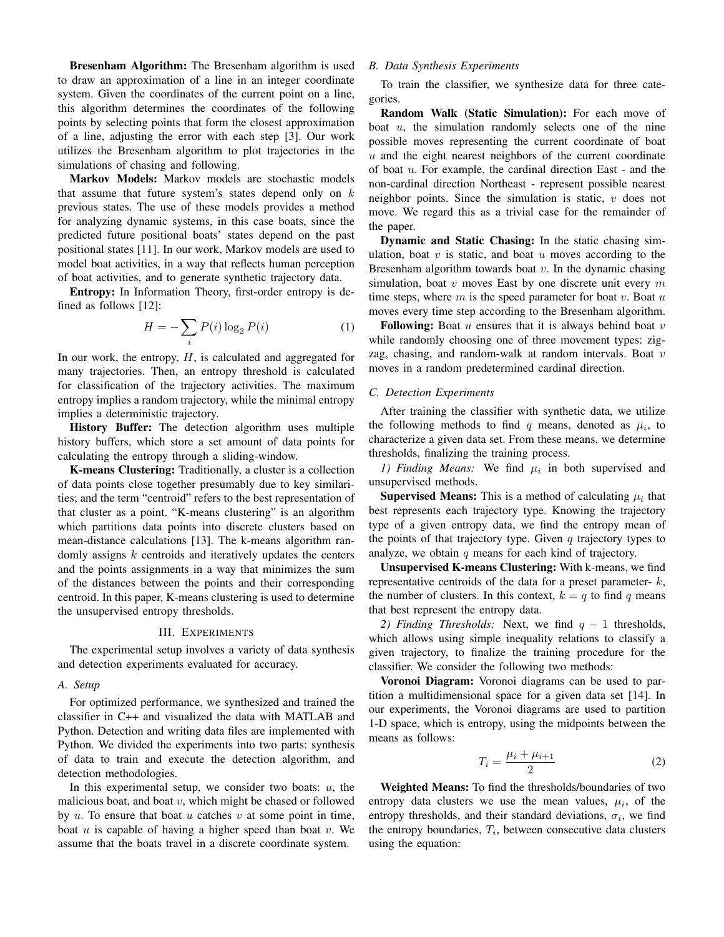Bresenham Algorithm: The Bresenham algorithm is used to draw an approximation of a line in an integer coordinate system. Given the coordinates of the current point on a line, this algorithm determines the coordinates of the following points by selecting points that form the closest approximation of a line, adjusting the error with each step [3]. Our work utilizes the Bresenham algorithm to plot trajectories in the simulations of chasing and following.

Markov Models: Markov models are stochastic models that assume that future system's states depend only on  $k$ previous states. The use of these models provides a method for analyzing dynamic systems, in this case boats, since the predicted future positional boats' states depend on the past positional states [11]. In our work, Markov models are used to model boat activities, in a way that reflects human perception of boat activities, and to generate synthetic trajectory data.

Entropy: In Information Theory, first-order entropy is defined as follows [12]:

$$
H = -\sum_{i} P(i) \log_2 P(i) \tag{1}
$$

In our work, the entropy,  $H$ , is calculated and aggregated for many trajectories. Then, an entropy threshold is calculated for classification of the trajectory activities. The maximum entropy implies a random trajectory, while the minimal entropy implies a deterministic trajectory.

History Buffer: The detection algorithm uses multiple history buffers, which store a set amount of data points for calculating the entropy through a sliding-window.

K-means Clustering: Traditionally, a cluster is a collection of data points close together presumably due to key similarities; and the term "centroid" refers to the best representation of that cluster as a point. "K-means clustering" is an algorithm which partitions data points into discrete clusters based on mean-distance calculations [13]. The k-means algorithm randomly assigns k centroids and iteratively updates the centers and the points assignments in a way that minimizes the sum of the distances between the points and their corresponding centroid. In this paper, K-means clustering is used to determine the unsupervised entropy thresholds.

#### III. EXPERIMENTS

The experimental setup involves a variety of data synthesis and detection experiments evaluated for accuracy.

# *A. Setup*

For optimized performance, we synthesized and trained the classifier in C++ and visualized the data with MATLAB and Python. Detection and writing data files are implemented with Python. We divided the experiments into two parts: synthesis of data to train and execute the detection algorithm, and detection methodologies.

In this experimental setup, we consider two boats:  $u$ , the malicious boat, and boat  $v$ , which might be chased or followed by  $u$ . To ensure that boat  $u$  catches  $v$  at some point in time, boat  $u$  is capable of having a higher speed than boat  $v$ . We assume that the boats travel in a discrete coordinate system.

# *B. Data Synthesis Experiments*

To train the classifier, we synthesize data for three categories.

Random Walk (Static Simulation): For each move of boat  $u$ , the simulation randomly selects one of the nine possible moves representing the current coordinate of boat  $u$  and the eight nearest neighbors of the current coordinate of boat  $u$ . For example, the cardinal direction East - and the non-cardinal direction Northeast - represent possible nearest neighbor points. Since the simulation is static,  $v$  does not move. We regard this as a trivial case for the remainder of the paper.

Dynamic and Static Chasing: In the static chasing simulation, boat  $v$  is static, and boat  $u$  moves according to the Bresenham algorithm towards boat  $v$ . In the dynamic chasing simulation, boat  $v$  moves East by one discrete unit every  $m$ time steps, where  $m$  is the speed parameter for boat  $v$ . Boat  $u$ moves every time step according to the Bresenham algorithm.

Following: Boat  $u$  ensures that it is always behind boat  $v$ while randomly choosing one of three movement types: zigzag, chasing, and random-walk at random intervals. Boat  $v$ moves in a random predetermined cardinal direction.

## *C. Detection Experiments*

After training the classifier with synthetic data, we utilize the following methods to find q means, denoted as  $\mu_i$ , to characterize a given data set. From these means, we determine thresholds, finalizing the training process.

1) Finding Means: We find  $\mu_i$  in both supervised and unsupervised methods.

**Supervised Means:** This is a method of calculating  $\mu_i$  that best represents each trajectory type. Knowing the trajectory type of a given entropy data, we find the entropy mean of the points of that trajectory type. Given  $q$  trajectory types to analyze, we obtain  $q$  means for each kind of trajectory.

Unsupervised K-means Clustering: With k-means, we find representative centroids of the data for a preset parameter- $k$ , the number of clusters. In this context,  $k = q$  to find q means that best represent the entropy data.

*2) Finding Thresholds:* Next, we find  $q - 1$  thresholds, which allows using simple inequality relations to classify a given trajectory, to finalize the training procedure for the classifier. We consider the following two methods:

Voronoi Diagram: Voronoi diagrams can be used to partition a multidimensional space for a given data set [14]. In our experiments, the Voronoi diagrams are used to partition 1-D space, which is entropy, using the midpoints between the means as follows:

$$
T_i = \frac{\mu_i + \mu_{i+1}}{2} \tag{2}
$$

Weighted Means: To find the thresholds/boundaries of two entropy data clusters we use the mean values,  $\mu_i$ , of the entropy thresholds, and their standard deviations,  $\sigma_i$ , we find the entropy boundaries,  $T_i$ , between consecutive data clusters using the equation: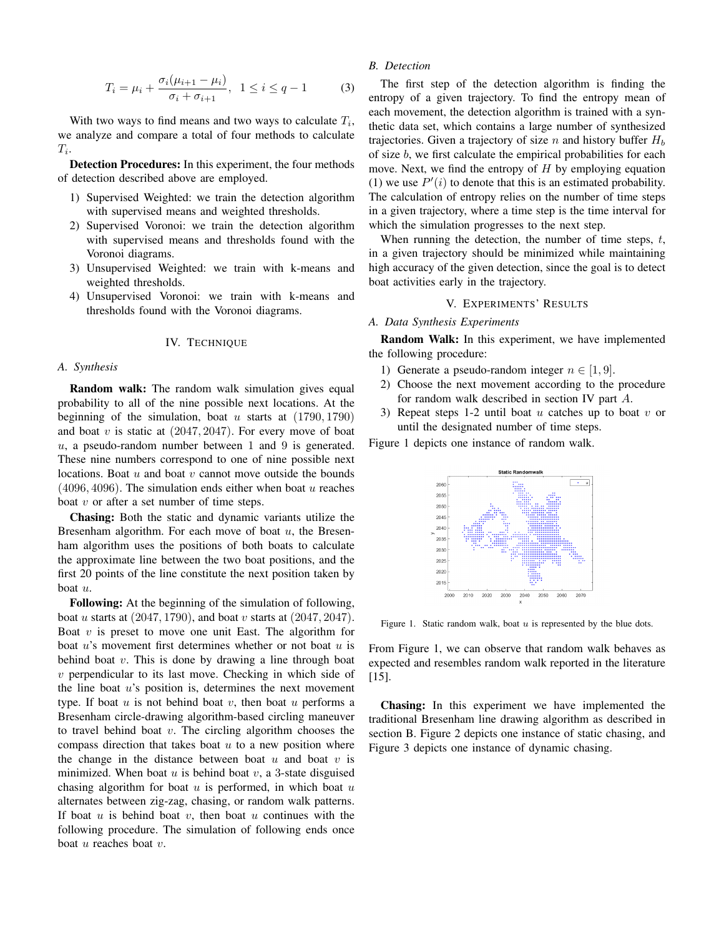$$
T_i = \mu_i + \frac{\sigma_i(\mu_{i+1} - \mu_i)}{\sigma_i + \sigma_{i+1}}, \ \ 1 \le i \le q - 1 \tag{3}
$$

With two ways to find means and two ways to calculate  $T_i$ , we analyze and compare a total of four methods to calculate  $T_i$ .

Detection Procedures: In this experiment, the four methods of detection described above are employed.

- 1) Supervised Weighted: we train the detection algorithm with supervised means and weighted thresholds.
- 2) Supervised Voronoi: we train the detection algorithm with supervised means and thresholds found with the Voronoi diagrams.
- 3) Unsupervised Weighted: we train with k-means and weighted thresholds.
- 4) Unsupervised Voronoi: we train with k-means and thresholds found with the Voronoi diagrams.

#### IV. TECHNIQUE

#### *A. Synthesis*

Random walk: The random walk simulation gives equal probability to all of the nine possible next locations. At the beginning of the simulation, boat u starts at  $(1790, 1790)$ and boat  $v$  is static at  $(2047, 2047)$ . For every move of boat  $u$ , a pseudo-random number between 1 and 9 is generated. These nine numbers correspond to one of nine possible next locations. Boat  $u$  and boat  $v$  cannot move outside the bounds  $(4096, 4096)$ . The simulation ends either when boat u reaches boat  $v$  or after a set number of time steps.

Chasing: Both the static and dynamic variants utilize the Bresenham algorithm. For each move of boat  $u$ , the Bresenham algorithm uses the positions of both boats to calculate the approximate line between the two boat positions, and the first 20 points of the line constitute the next position taken by boat u.

Following: At the beginning of the simulation of following, boat u starts at  $(2047, 1790)$ , and boat v starts at  $(2047, 2047)$ . Boat  $v$  is preset to move one unit East. The algorithm for boat  $u$ 's movement first determines whether or not boat  $u$  is behind boat  $v$ . This is done by drawing a line through boat  $v$  perpendicular to its last move. Checking in which side of the line boat  $u$ 's position is, determines the next movement type. If boat  $u$  is not behind boat  $v$ , then boat  $u$  performs a Bresenham circle-drawing algorithm-based circling maneuver to travel behind boat  $v$ . The circling algorithm chooses the compass direction that takes boat  $u$  to a new position where the change in the distance between boat  $u$  and boat  $v$  is minimized. When boat  $u$  is behind boat  $v$ , a 3-state disguised chasing algorithm for boat  $u$  is performed, in which boat  $u$ alternates between zig-zag, chasing, or random walk patterns. If boat  $u$  is behind boat  $v$ , then boat  $u$  continues with the following procedure. The simulation of following ends once boat  $u$  reaches boat  $v$ .

# *B. Detection*

The first step of the detection algorithm is finding the entropy of a given trajectory. To find the entropy mean of each movement, the detection algorithm is trained with a synthetic data set, which contains a large number of synthesized trajectories. Given a trajectory of size n and history buffer  $H<sub>b</sub>$ of size b, we first calculate the empirical probabilities for each move. Next, we find the entropy of  $H$  by employing equation (1) we use  $P'(i)$  to denote that this is an estimated probability. The calculation of entropy relies on the number of time steps in a given trajectory, where a time step is the time interval for which the simulation progresses to the next step.

When running the detection, the number of time steps,  $t$ , in a given trajectory should be minimized while maintaining high accuracy of the given detection, since the goal is to detect boat activities early in the trajectory.

# V. EXPERIMENTS' RESULTS

# *A. Data Synthesis Experiments*

Random Walk: In this experiment, we have implemented the following procedure:

- 1) Generate a pseudo-random integer  $n \in [1, 9]$ .
- 2) Choose the next movement according to the procedure for random walk described in section IV part A.
- 3) Repeat steps 1-2 until boat u catches up to boat v or until the designated number of time steps.

Figure 1 depicts one instance of random walk.



Figure 1. Static random walk, boat  $u$  is represented by the blue dots.

From Figure 1, we can observe that random walk behaves as expected and resembles random walk reported in the literature [15].

Chasing: In this experiment we have implemented the traditional Bresenham line drawing algorithm as described in section B. Figure 2 depicts one instance of static chasing, and Figure 3 depicts one instance of dynamic chasing.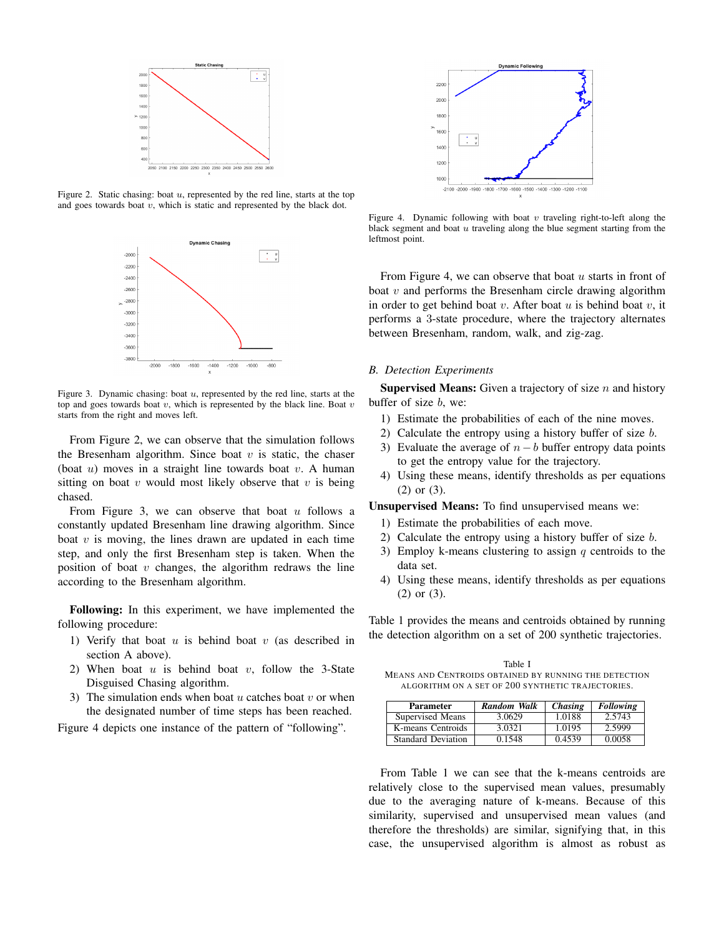

Figure 2. Static chasing: boat  $u$ , represented by the red line, starts at the top and goes towards boat  $v$ , which is static and represented by the black dot.



Figure 3. Dynamic chasing: boat  $u$ , represented by the red line, starts at the top and goes towards boat  $v$ , which is represented by the black line. Boat  $v$ starts from the right and moves left.

From Figure 2, we can observe that the simulation follows the Bresenham algorithm. Since boat  $v$  is static, the chaser (boat  $u$ ) moves in a straight line towards boat  $v$ . A human sitting on boat  $v$  would most likely observe that  $v$  is being chased.

From Figure 3, we can observe that boat  $u$  follows a constantly updated Bresenham line drawing algorithm. Since boat  $v$  is moving, the lines drawn are updated in each time step, and only the first Bresenham step is taken. When the position of boat  $v$  changes, the algorithm redraws the line according to the Bresenham algorithm.

Following: In this experiment, we have implemented the following procedure:

- 1) Verify that boat  $u$  is behind boat  $v$  (as described in section A above).
- 2) When boat  $u$  is behind boat  $v$ , follow the 3-State Disguised Chasing algorithm.
- 3) The simulation ends when boat  $u$  catches boat  $v$  or when the designated number of time steps has been reached.

Figure 4 depicts one instance of the pattern of "following".



Figure 4. Dynamic following with boat  $v$  traveling right-to-left along the black segment and boat  $u$  traveling along the blue segment starting from the leftmost point.

From Figure 4, we can observe that boat  $u$  starts in front of boat  $v$  and performs the Bresenham circle drawing algorithm in order to get behind boat  $v$ . After boat  $u$  is behind boat  $v$ , it performs a 3-state procedure, where the trajectory alternates between Bresenham, random, walk, and zig-zag.

### *B. Detection Experiments*

**Supervised Means:** Given a trajectory of size  $n$  and history buffer of size b, we:

- 1) Estimate the probabilities of each of the nine moves.
- 2) Calculate the entropy using a history buffer of size b.
- 3) Evaluate the average of  $n-b$  buffer entropy data points to get the entropy value for the trajectory.
- 4) Using these means, identify thresholds as per equations (2) or (3).

Unsupervised Means: To find unsupervised means we:

- 1) Estimate the probabilities of each move.
- 2) Calculate the entropy using a history buffer of size  $b$ .
- 3) Employ k-means clustering to assign  $q$  centroids to the data set.
- 4) Using these means, identify thresholds as per equations (2) or (3).

Table 1 provides the means and centroids obtained by running the detection algorithm on a set of 200 synthetic trajectories.

Table I MEANS AND CENTROIDS OBTAINED BY RUNNING THE DETECTION ALGORITHM ON A SET OF 200 SYNTHETIC TRAJECTORIES.

| <b>Parameter</b>          | Random Walk | <i>Chasing</i> | <b>Following</b> |
|---------------------------|-------------|----------------|------------------|
| Supervised Means          | 3.0629      | 1.0188         | 2.5743           |
| K-means Centroids         | 3.0321      | 1.0195         | 2.5999           |
| <b>Standard Deviation</b> | 0.1548      | 0.4539         | 0.0058           |

From Table 1 we can see that the k-means centroids are relatively close to the supervised mean values, presumably due to the averaging nature of k-means. Because of this similarity, supervised and unsupervised mean values (and therefore the thresholds) are similar, signifying that, in this case, the unsupervised algorithm is almost as robust as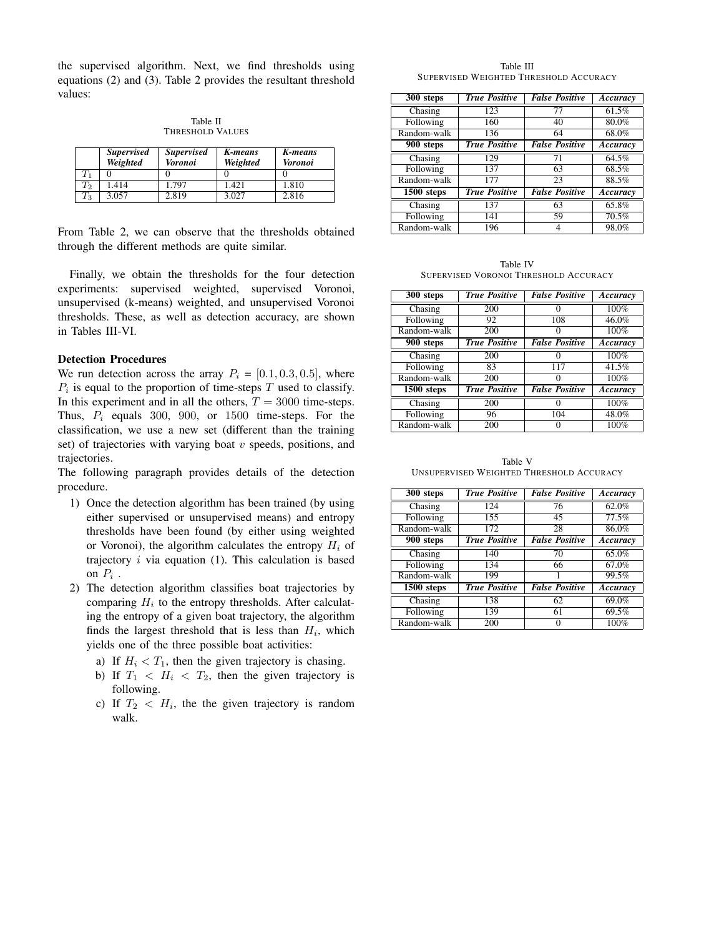the supervised algorithm. Next, we find thresholds using equations (2) and (3). Table 2 provides the resultant threshold values:

Table II THRESHOLD VALUES

|                    | <b>Supervised</b><br>Weighted | <i>Supervised</i><br><b>Voronoi</b> | K-means<br>Weighted | K-means<br>Voronoi |
|--------------------|-------------------------------|-------------------------------------|---------------------|--------------------|
| $T_{\rm 1}$        |                               |                                     |                     |                    |
| $\scriptstyle T_2$ | 1.414                         | 1.797                               | 1.421               | 1.810              |
| $T_{3}$            | 3.057                         | 2.819                               | 3.027               | 2.816              |

From Table 2, we can observe that the thresholds obtained through the different methods are quite similar.

Finally, we obtain the thresholds for the four detection experiments: supervised weighted, supervised Voronoi, unsupervised (k-means) weighted, and unsupervised Voronoi thresholds. These, as well as detection accuracy, are shown in Tables III-VI.

# Detection Procedures

We run detection across the array  $P_i = [0.1, 0.3, 0.5]$ , where  $P_i$  is equal to the proportion of time-steps T used to classify. In this experiment and in all the others,  $T = 3000$  time-steps. Thus,  $P_i$  equals 300, 900, or 1500 time-steps. For the classification, we use a new set (different than the training set) of trajectories with varying boat  $v$  speeds, positions, and trajectories.

The following paragraph provides details of the detection procedure.

- 1) Once the detection algorithm has been trained (by using either supervised or unsupervised means) and entropy thresholds have been found (by either using weighted or Voronoi), the algorithm calculates the entropy  $H_i$  of trajectory  $i$  via equation (1). This calculation is based on  $P_i$ .
- 2) The detection algorithm classifies boat trajectories by comparing  $H_i$  to the entropy thresholds. After calculating the entropy of a given boat trajectory, the algorithm finds the largest threshold that is less than  $H_i$ , which yields one of the three possible boat activities:
	- a) If  $H_i < T_1$ , then the given trajectory is chasing.
	- b) If  $T_1 < H_i < T_2$ , then the given trajectory is following.
	- c) If  $T_2 < H_i$ , the the given trajectory is random walk.

Table III SUPERVISED WEIGHTED THRESHOLD ACCURACY

| $300$ steps                 | <b>True Positive</b> | <b>False Positive</b> | Accuracy |
|-----------------------------|----------------------|-----------------------|----------|
| Chasing                     | 123                  | 77                    | 61.5%    |
| Following                   | 160                  | 40                    | 80.0%    |
| Random-walk                 | 136                  | 64                    | 68.0%    |
| $\overline{900}$ steps      | <b>True Positive</b> | <b>False Positive</b> | Accuracy |
| $\overline{\text{Chasing}}$ | 129                  | 71                    | 64.5%    |
| Following                   | 137                  | 63                    | 68.5%    |
| Random-walk                 | 177                  | 23                    | 88.5%    |
| 1500 steps                  | <b>True Positive</b> | <b>False Positive</b> | Accuracy |
| Chasing                     | 137                  | 63                    | 65.8%    |
| Following                   | 141                  | 59                    | 70.5%    |
| Random-walk                 | 196                  |                       | 98.0%    |

Table IV SUPERVISED VORONOI THRESHOLD ACCURACY

| 300 steps               | <b>True Positive</b> | <b>False Positive</b> | Accuracy           |
|-------------------------|----------------------|-----------------------|--------------------|
| Chasing                 | 200                  |                       | 100%               |
| Following               | 92                   | 108                   | 46.0%              |
| Random-walk             | 200                  |                       | 100%               |
| $900$ steps             | <b>True Positive</b> | <b>False Positive</b> | Accuracy           |
| Chasing                 | 200                  |                       | $\overline{100\%}$ |
| Following               | 83                   | 117                   | 41.5%              |
| Random-walk             | $\overline{200}$     |                       | 100%               |
| $\overline{1500}$ steps | <b>True Positive</b> | <b>False Positive</b> | Accuracy           |
| Chasing                 | 200                  |                       | 100%               |
| Following               | 96                   | 104                   | 48.0%              |
| Random-walk             | 200                  |                       | 100%               |

Table V UNSUPERVISED WEIGHTED THRESHOLD ACCURACY

| 300 steps    | <b>True Positive</b> | <b>False Positive</b> | Accuracy |
|--------------|----------------------|-----------------------|----------|
| Chasing      | 124                  | 76                    | 62.0%    |
| Following    | 155                  | 45                    | 77.5%    |
| Random-walk  | 172                  | 28                    | 86.0%    |
| 900 steps    | <b>True Positive</b> | <b>False Positive</b> | Accuracy |
| Chasing      | 140                  | 70                    | $65.0\%$ |
| Following    | 134                  | 66                    | 67.0%    |
| Random-walk  | 199                  |                       | 99.5%    |
| $1500$ steps | <b>True Positive</b> | <b>False Positive</b> | Accuracy |
| Chasing      | 138                  | 62                    | 69.0%    |
| Following    | 139                  | 61                    | 69.5%    |
| Random-walk  | 200                  |                       | 100%     |